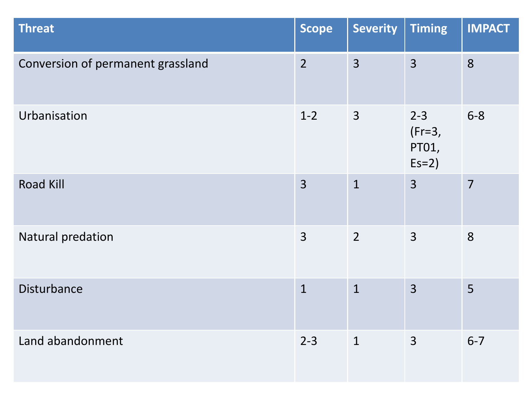| <b>Threat</b>                     | <b>Scope</b>   | <b>Severity</b> | <b>Timing</b>                           | <b>IMPACT</b>  |
|-----------------------------------|----------------|-----------------|-----------------------------------------|----------------|
| Conversion of permanent grassland | $\overline{2}$ | $\overline{3}$  | $\overline{3}$                          | 8              |
| Urbanisation                      | $1 - 2$        | $\overline{3}$  | $2 - 3$<br>$(Fr=3,$<br>PT01,<br>$Es=2)$ | $6 - 8$        |
| <b>Road Kill</b>                  | $\overline{3}$ | $\mathbf{1}$    | $\overline{3}$                          | $\overline{7}$ |
| Natural predation                 | $\overline{3}$ | $\overline{2}$  | $\overline{3}$                          | 8              |
| Disturbance                       | $\mathbf{1}$   | $\overline{1}$  | $\overline{3}$                          | 5              |
| Land abandonment                  | $2 - 3$        | $\mathbf{1}$    | 3                                       | $6 - 7$        |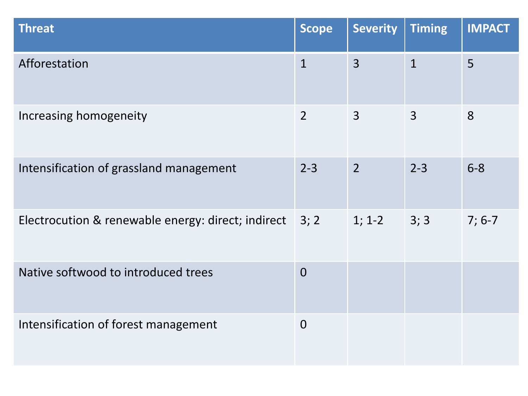| <b>Threat</b>                                      | <b>Scope</b>   | <b>Severity</b> | <b>Timing</b>  | <b>IMPACT</b> |
|----------------------------------------------------|----------------|-----------------|----------------|---------------|
| Afforestation                                      | $\mathbf{1}$   | $\overline{3}$  | $\mathbf{1}$   | 5             |
| Increasing homogeneity                             | $\overline{2}$ | $\overline{3}$  | $\overline{3}$ | 8             |
| Intensification of grassland management            | $2 - 3$        | $\overline{2}$  | $2 - 3$        | $6 - 8$       |
| Electrocution & renewable energy: direct; indirect | 3; 2           | $1; 1-2$        | 3; 3           | $7; 6-7$      |
| Native softwood to introduced trees                | $\overline{0}$ |                 |                |               |
| Intensification of forest management               | $\Omega$       |                 |                |               |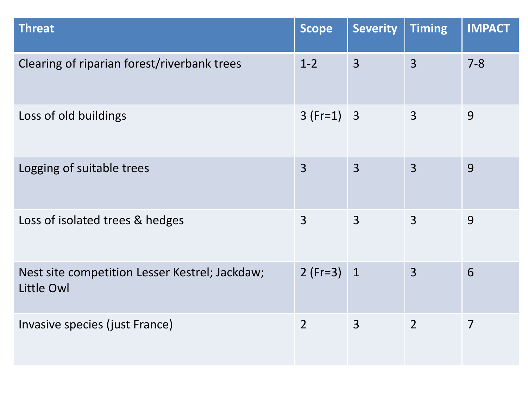| <b>Threat</b>                                                | <b>Scope</b>   | <b>Severity</b> | <b>Timing</b>  | <b>IMPACT</b>  |
|--------------------------------------------------------------|----------------|-----------------|----------------|----------------|
| Clearing of riparian forest/riverbank trees                  | $1 - 2$        | $\overline{3}$  | $\overline{3}$ | $7 - 8$        |
| Loss of old buildings                                        | $3(Fr=1)$ 3    |                 | $\overline{3}$ | 9              |
| Logging of suitable trees                                    | $\overline{3}$ | $\overline{3}$  | $\overline{3}$ | 9              |
| Loss of isolated trees & hedges                              | $\overline{3}$ | $\overline{3}$  | $\overline{3}$ | 9              |
| Nest site competition Lesser Kestrel; Jackdaw;<br>Little Owl | $2(Fr=3)$      | $\mathbf{1}$    | $\overline{3}$ | 6              |
| Invasive species (just France)                               | $\overline{2}$ | $\overline{3}$  | $\overline{2}$ | $\overline{7}$ |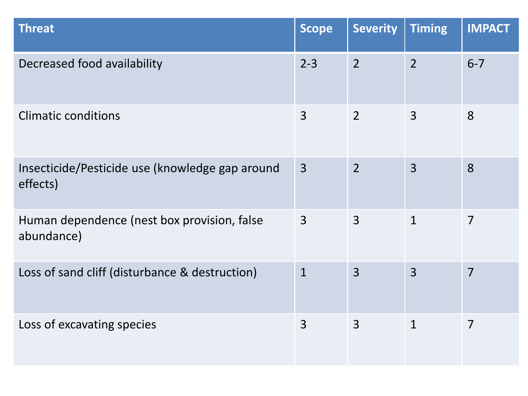| <b>Threat</b>                                               | <b>Scope</b>   | <b>Severity</b> | <b>Timing</b>  | <b>IMPACT</b>  |
|-------------------------------------------------------------|----------------|-----------------|----------------|----------------|
| Decreased food availability                                 | $2 - 3$        | $\overline{2}$  | $\overline{2}$ | $6 - 7$        |
| <b>Climatic conditions</b>                                  | $\overline{3}$ | $\overline{2}$  | $\overline{3}$ | 8              |
| Insecticide/Pesticide use (knowledge gap around<br>effects) | $\overline{3}$ | $\overline{2}$  | $\overline{3}$ | 8              |
| Human dependence (nest box provision, false<br>abundance)   | $\overline{3}$ | $\overline{3}$  | $\mathbf{1}$   | $\overline{7}$ |
| Loss of sand cliff (disturbance & destruction)              | $\mathbf{1}$   | $\overline{3}$  | $\overline{3}$ | $\overline{7}$ |
| Loss of excavating species                                  | $\overline{3}$ | $\overline{3}$  | $\mathbf{1}$   | $\overline{7}$ |